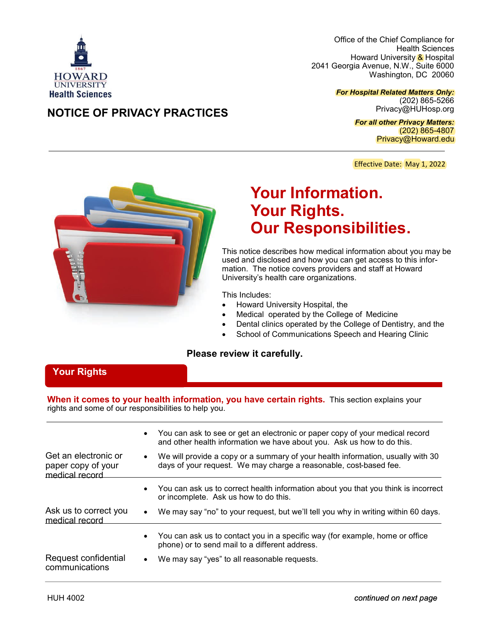

Office of the Chief Compliance for Health Sciences Howard University & Hospital 2041 Georgia Avenue, N.W., Suite 6000 Washington, DC 20060

> *For Hospital Related Matters Only:* (202) 865-5266 Privacy@HUHosp.org

> > *For all other Privacy Matters:* (202) 865-4807 Privacy@Howard.edu

Effective Date: May 1, 2022



**NOTICE OF PRIVACY PRACTICES**

# **Your Information. Your Rights. Our Responsibilities.**

This notice describes how medical information about you may be used and disclosed and how you can get access to this information. The notice covers providers and staff at Howard University's health care organizations.

This Includes:

- Howard University Hospital, the
- Medical operated by the College of Medicine
- Dental clinics operated by the College of Dentistry, and the
- School of Communications Speech and Hearing Clinic

# **Please review it carefully.**

# **Your Rights**

**When it comes to your health information, you have certain rights.** This section explains your rights and some of our responsibilities to help you.

|                                                              | $\bullet$ | You can ask to see or get an electronic or paper copy of your medical record<br>and other health information we have about you. Ask us how to do this. |
|--------------------------------------------------------------|-----------|--------------------------------------------------------------------------------------------------------------------------------------------------------|
| Get an electronic or<br>paper copy of your<br>medical record | $\bullet$ | We will provide a copy or a summary of your health information, usually with 30<br>days of your request. We may charge a reasonable, cost-based fee.   |
|                                                              | $\bullet$ | You can ask us to correct health information about you that you think is incorrect<br>or incomplete. Ask us how to do this.                            |
| Ask us to correct you<br>medical record                      |           | We may say "no" to your request, but we'll tell you why in writing within 60 days.                                                                     |
|                                                              | $\bullet$ | You can ask us to contact you in a specific way (for example, home or office<br>phone) or to send mail to a different address.                         |
| Request confidential<br>communications                       | $\bullet$ | We may say "yes" to all reasonable requests.                                                                                                           |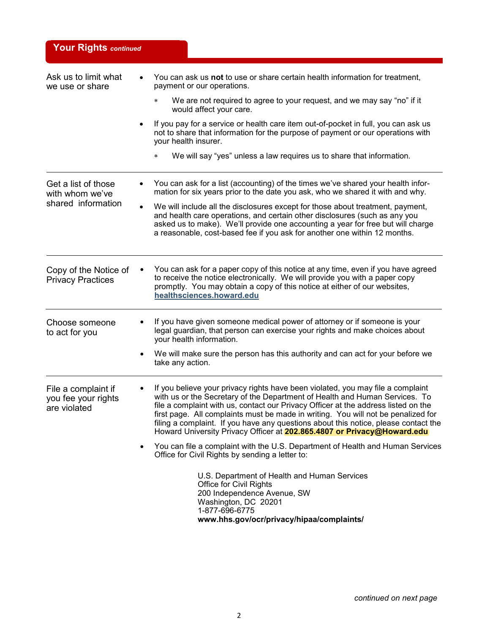| <b>Your Rights continued</b>                                 |                                                                                                                                                                                                                                                                                                                                                                                                                                                                                                             |
|--------------------------------------------------------------|-------------------------------------------------------------------------------------------------------------------------------------------------------------------------------------------------------------------------------------------------------------------------------------------------------------------------------------------------------------------------------------------------------------------------------------------------------------------------------------------------------------|
| Ask us to limit what<br>we use or share                      | You can ask us not to use or share certain health information for treatment,<br>payment or our operations.                                                                                                                                                                                                                                                                                                                                                                                                  |
|                                                              | We are not required to agree to your request, and we may say "no" if it<br>$\star$<br>would affect your care.                                                                                                                                                                                                                                                                                                                                                                                               |
|                                                              | If you pay for a service or health care item out-of-pocket in full, you can ask us<br>not to share that information for the purpose of payment or our operations with<br>your health insurer.                                                                                                                                                                                                                                                                                                               |
|                                                              | We will say "yes" unless a law requires us to share that information.<br>$\star$                                                                                                                                                                                                                                                                                                                                                                                                                            |
| Get a list of those<br>with whom we've<br>shared information | You can ask for a list (accounting) of the times we've shared your health infor-<br>mation for six years prior to the date you ask, who we shared it with and why.                                                                                                                                                                                                                                                                                                                                          |
|                                                              | We will include all the disclosures except for those about treatment, payment,<br>$\bullet$<br>and health care operations, and certain other disclosures (such as any you<br>asked us to make). We'll provide one accounting a year for free but will charge<br>a reasonable, cost-based fee if you ask for another one within 12 months.                                                                                                                                                                   |
| Copy of the Notice of<br><b>Privacy Practices</b>            | You can ask for a paper copy of this notice at any time, even if you have agreed<br>$\bullet$<br>to receive the notice electronically. We will provide you with a paper copy<br>promptly. You may obtain a copy of this notice at either of our websites,<br>healthsciences.howard.edu                                                                                                                                                                                                                      |
| Choose someone<br>to act for you                             | If you have given someone medical power of attorney or if someone is your<br>legal guardian, that person can exercise your rights and make choices about<br>your health information.                                                                                                                                                                                                                                                                                                                        |
|                                                              | We will make sure the person has this authority and can act for your before we<br>take any action.                                                                                                                                                                                                                                                                                                                                                                                                          |
| File a complaint if<br>you fee your rights<br>are violated   | If you believe your privacy rights have been violated, you may file a complaint<br>with us or the Secretary of the Department of Health and Human Services. To<br>file a complaint with us, contact our Privacy Officer at the address listed on the<br>first page. All complaints must be made in writing. You will not be penalized for<br>filing a complaint. If you have any questions about this notice, please contact the<br>Howard University Privacy Officer at 202.865.4807 or Privacy@Howard.edu |
|                                                              | You can file a complaint with the U.S. Department of Health and Human Services<br>٠<br>Office for Civil Rights by sending a letter to:                                                                                                                                                                                                                                                                                                                                                                      |
|                                                              | U.S. Department of Health and Human Services<br>Office for Civil Rights<br>200 Independence Avenue, SW<br>Washington, DC 20201<br>1-877-696-6775<br>www.hhs.gov/ocr/privacy/hipaa/complaints/                                                                                                                                                                                                                                                                                                               |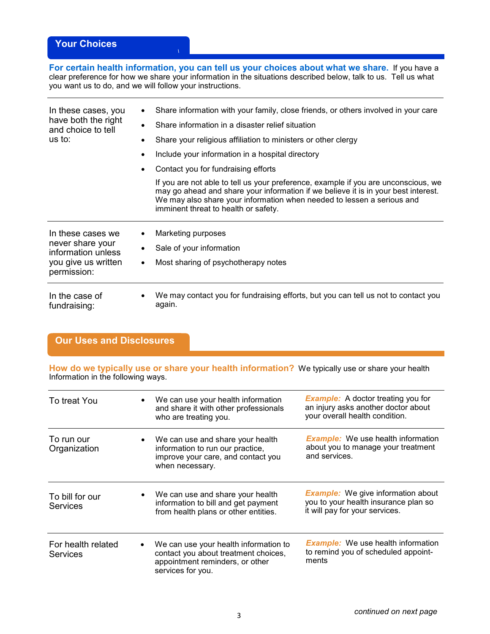**For certain health information, you can tell us your choices about what we share.** If you have a clear preference for how we share your information in the situations described below, talk to us. Tell us what you want us to do, and we will follow your instructions.

| In these cases, you<br>have both the right<br>and choice to tell<br>$us$ to: | Share information with your family, close friends, or others involved in your care<br>Share information in a disaster relief situation<br>$\bullet$<br>Share your religious affiliation to ministers or other clergy<br>$\bullet$<br>Include your information in a hospital directory                                             |
|------------------------------------------------------------------------------|-----------------------------------------------------------------------------------------------------------------------------------------------------------------------------------------------------------------------------------------------------------------------------------------------------------------------------------|
|                                                                              | Contact you for fundraising efforts<br>If you are not able to tell us your preference, example if you are unconscious, we<br>may go ahead and share your information if we believe it is in your best interest.<br>We may also share your information when needed to lessen a serious and<br>imminent threat to health or safety. |
| In these cases we                                                            | Marketing purposes                                                                                                                                                                                                                                                                                                                |
| never share your                                                             | Sale of your information                                                                                                                                                                                                                                                                                                          |
| information unless                                                           | ٠                                                                                                                                                                                                                                                                                                                                 |
| you give us written                                                          | Most sharing of psychotherapy notes                                                                                                                                                                                                                                                                                               |
| permission:                                                                  | $\bullet$                                                                                                                                                                                                                                                                                                                         |
| In the case of                                                               | We may contact you for fundraising efforts, but you can tell us not to contact you                                                                                                                                                                                                                                                |
| fundraising:                                                                 | again.                                                                                                                                                                                                                                                                                                                            |

# **Our Uses and Disclosures**

**How do we typically use or share your health information?** We typically use or share your health Information in the following ways.

| To treat You                          | We can use your health information<br>and share it with other professionals<br>who are treating you.                                  | <b>Example:</b> A doctor treating you for<br>an injury asks another doctor about<br>your overall health condition.  |
|---------------------------------------|---------------------------------------------------------------------------------------------------------------------------------------|---------------------------------------------------------------------------------------------------------------------|
| To run our<br>Organization            | We can use and share your health<br>information to run our practice,<br>improve your care, and contact you<br>when necessary.         | <b>Example:</b> We use health information<br>about you to manage your treatment<br>and services.                    |
| To bill for our<br><b>Services</b>    | We can use and share your health<br>information to bill and get payment<br>from health plans or other entities.                       | <b>Example:</b> We give information about<br>you to your health insurance plan so<br>it will pay for your services. |
| For health related<br><b>Services</b> | We can use your health information to<br>contact you about treatment choices,<br>appointment reminders, or other<br>services for you. | <b>Example:</b> We use health information<br>to remind you of scheduled appoint-<br>ments                           |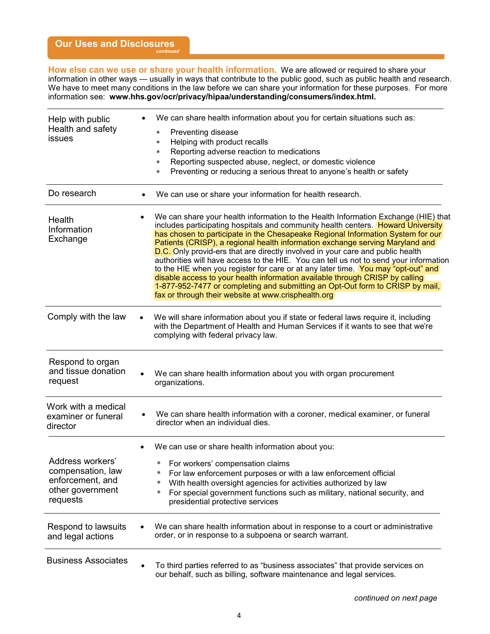#### **Our Uses and Disclosures** *continued*

**How else can we use or share your health information.** We are allowed or required to share your information in other ways — usually in ways that contribute to the public good, such as public health and research. We have to meet many conditions in the law before we can share your information for these purposes. For more information see: **www.hhs.gov/ocr/privacy/hipaa/understanding/consumers/index.html.**

| Help with public<br>Health and safety<br>issues                                           | We can share health information about you for certain situations such as:                                                                                                                                                                                                                                                                                                                                                                                                                                                                                                                                                                                                                                                                                                                                                                 |
|-------------------------------------------------------------------------------------------|-------------------------------------------------------------------------------------------------------------------------------------------------------------------------------------------------------------------------------------------------------------------------------------------------------------------------------------------------------------------------------------------------------------------------------------------------------------------------------------------------------------------------------------------------------------------------------------------------------------------------------------------------------------------------------------------------------------------------------------------------------------------------------------------------------------------------------------------|
|                                                                                           | Preventing disease<br>$\ast$<br>Helping with product recalls<br>$\ast$<br>Reporting adverse reaction to medications<br>$\ast$<br>Reporting suspected abuse, neglect, or domestic violence<br>$\ast$<br>Preventing or reducing a serious threat to anyone's health or safety<br>$\ast$                                                                                                                                                                                                                                                                                                                                                                                                                                                                                                                                                     |
| Do research                                                                               | We can use or share your information for health research.                                                                                                                                                                                                                                                                                                                                                                                                                                                                                                                                                                                                                                                                                                                                                                                 |
| Health<br>Information<br>Exchange                                                         | We can share your health information to the Health Information Exchange (HIE) that<br>includes participating hospitals and community health centers. Howard University<br>has chosen to participate in the Chesapeake Regional Information System for our<br>Patients (CRISP), a regional health information exchange serving Maryland and<br><b>D.C.</b> Only provid-ers that are directly involved in your care and public health<br>authorities will have access to the HIE. You can tell us not to send your information<br>to the HIE when you register for care or at any later time. You may "opt-out" and<br>disable access to your health information available through CRISP by calling<br>1-877-952-7477 or completing and submitting an Opt-Out form to CRISP by mail,<br>fax or through their website at www.crisphealth.org |
| Comply with the law                                                                       | We will share information about you if state or federal laws require it, including<br>with the Department of Health and Human Services if it wants to see that we're<br>complying with federal privacy law.                                                                                                                                                                                                                                                                                                                                                                                                                                                                                                                                                                                                                               |
| Respond to organ<br>and tissue donation<br>request                                        | We can share health information about you with organ procurement<br>organizations.                                                                                                                                                                                                                                                                                                                                                                                                                                                                                                                                                                                                                                                                                                                                                        |
| Work with a medical<br>examiner or funeral<br>director                                    | We can share health information with a coroner, medical examiner, or funeral<br>director when an individual dies.                                                                                                                                                                                                                                                                                                                                                                                                                                                                                                                                                                                                                                                                                                                         |
| Address workers'<br>compensation, law<br>enforcement, and<br>other government<br>requests | We can use or share health information about you:<br>For workers' compensation claims<br>$\ast$<br>For law enforcement purposes or with a law enforcement official<br>$\ast$<br>With health oversight agencies for activities authorized by law<br>$\star$<br>For special government functions such as military, national security, and<br>$\ast$<br>presidential protective services                                                                                                                                                                                                                                                                                                                                                                                                                                                     |
| Respond to lawsuits<br>and legal actions                                                  | We can share health information about in response to a court or administrative<br>order, or in response to a subpoena or search warrant.                                                                                                                                                                                                                                                                                                                                                                                                                                                                                                                                                                                                                                                                                                  |
| <b>Business Associates</b>                                                                | To third parties referred to as "business associates" that provide services on<br>our behalf, such as billing, software maintenance and legal services.                                                                                                                                                                                                                                                                                                                                                                                                                                                                                                                                                                                                                                                                                   |